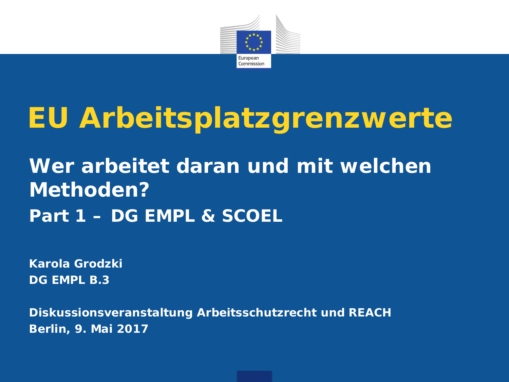

# **EU Arbeitsplatzgrenzwerte**

# **Wer arbeitet daran und mit welchen Methoden? Part 1 – DG EMPL & SCOEL**

**Karola Grodzki DG EMPL B.3**

**Diskussionsveranstaltung Arbeitsschutzrecht und REACH Berlin, 9. Mai 2017**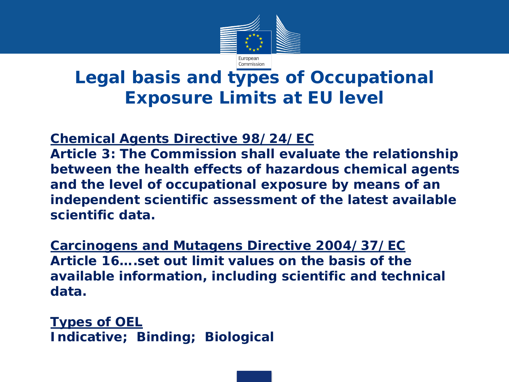

# **Legal basis and types of Occupational Exposure Limits at EU level**

## **Chemical Agents Directive 98/24/EC**

**Article 3: The Commission shall evaluate the relationship between the health effects of hazardous chemical agents and the level of occupational exposure by means of an independent scientific assessment of the latest available scientific data.**

**Carcinogens and Mutagens Directive 2004/37/EC Article 16….set out limit values on the basis of the available information, including scientific and technical data.**

**Types of OEL Indicative; Binding; Biological**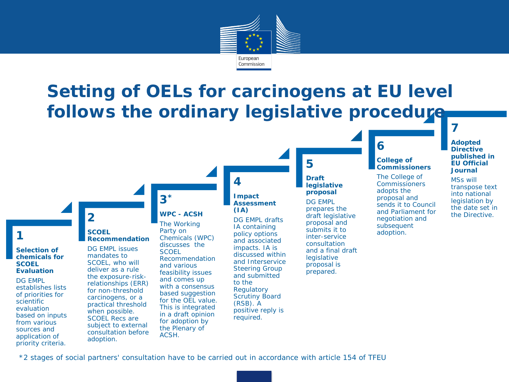

# **Setting of OELs for carcinogens at EU level follows the ordinary legislative procedure**

## **1**

#### **Selection of chemicals for SCOEL Evaluation**

DG EMPL establishes lists of priorities for scientific evaluation based on inputs from various sources and application of priority criteria.

## **SCOEL Recommendation**

**2**

DG EMPL issues mandates to SCOEL, who will deliver as a rule the exposure-riskrelationships (ERR) for non-threshold carcinogens, or a practical threshold when possible. SCOEL Recs are subject to external consultation before adoption.

## **WPC - ACSH**

**3\***

The Working Party on Chemicals (WPC) discusses the **SCOEL** Recommendation and various feasibility issues and comes up with a consensus based suggestion for the OEL value. This is integrated in a draft opinion for adoption by the Plenary of ACSH.

### **Impact Assessment (IA)**

**4** 

DG EMPL drafts IA containing policy options and associated impacts. IA is discussed within and Interservice Steering Group and submitted to the **Regulatory** Scrutiny Board (RSB). A positive reply is required.

## **5**

### **Draft legislative proposal**

DG EMPL prepares the draft legislative proposal and submits it to inter-service consultation and a final draft **legislative** proposal is prepared.

# **6**

#### **College of Commissioners**

The College of **Commissioners** adopts the proposal and sends it to Council and Parliament for negotiation and subsequent adoption.

## **Adopted Directive published in EU Official Journal**

**7** 

MSs will transpose text into national legislation by the date set in the Directive.

3 \*2 stages of social partners' consultation have to be carried out in accordance with article 154 of TFEU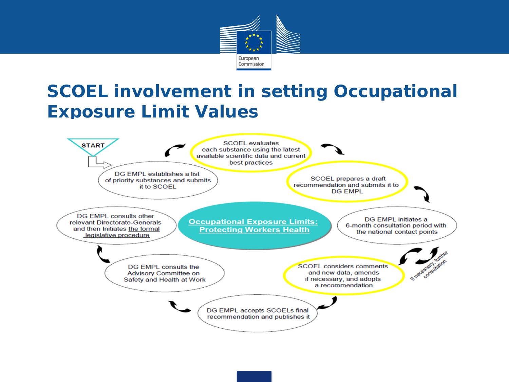

# **SCOEL involvement in setting Occupational Exposure Limit Values**